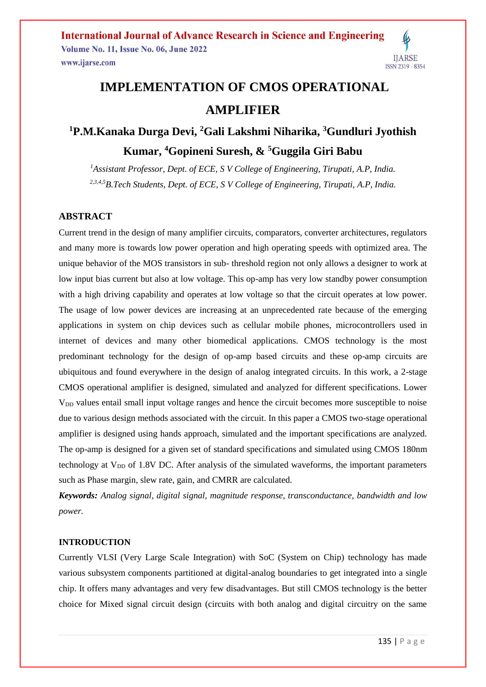# **IMPLEMENTATION OF CMOS OPERATIONAL AMPLIFIER**

# **<sup>1</sup>P.M.Kanaka Durga Devi, <sup>2</sup>Gali Lakshmi Niharika, <sup>3</sup>Gundluri Jyothish Kumar, <sup>4</sup>Gopineni Suresh, & <sup>5</sup>Guggila Giri Babu**

*<sup>1</sup>Assistant Professor, Dept. of ECE, S V College of Engineering, Tirupati, A.P, India. 2,3,4,5B.Tech Students, Dept. of ECE, S V College of Engineering, Tirupati, A.P, India.*

## **ABSTRACT**

Current trend in the design of many amplifier circuits, comparators, converter architectures, regulators and many more is towards low power operation and high operating speeds with optimized area. The unique behavior of the MOS transistors in sub- threshold region not only allows a designer to work at low input bias current but also at low voltage. This op-amp has very low standby power consumption with a high driving capability and operates at low voltage so that the circuit operates at low power. The usage of low power devices are increasing at an unprecedented rate because of the emerging applications in system on chip devices such as cellular mobile phones, microcontrollers used in internet of devices and many other biomedical applications. CMOS technology is the most predominant technology for the design of op-amp based circuits and these op-amp circuits are ubiquitous and found everywhere in the design of analog integrated circuits. In this work, a 2-stage CMOS operational amplifier is designed, simulated and analyzed for different specifications. Lower V<sub>DD</sub> values entail small input voltage ranges and hence the circuit becomes more susceptible to noise due to various design methods associated with the circuit. In this paper a CMOS two-stage operational amplifier is designed using hands approach, simulated and the important specifications are analyzed. The op-amp is designed for a given set of standard specifications and simulated using CMOS 180nm technology at  $V_{DD}$  of 1.8V DC. After analysis of the simulated waveforms, the important parameters such as Phase margin, slew rate, gain, and CMRR are calculated.

*Keywords: Analog signal, digital signal, magnitude response, transconductance, bandwidth and low power.*

#### **INTRODUCTION**

Currently VLSI (Very Large Scale Integration) with SoC (System on Chip) technology has made various subsystem components partitioned at digital-analog boundaries to get integrated into a single chip. It offers many advantages and very few disadvantages. But still CMOS technology is the better choice for Mixed signal circuit design (circuits with both analog and digital circuitry on the same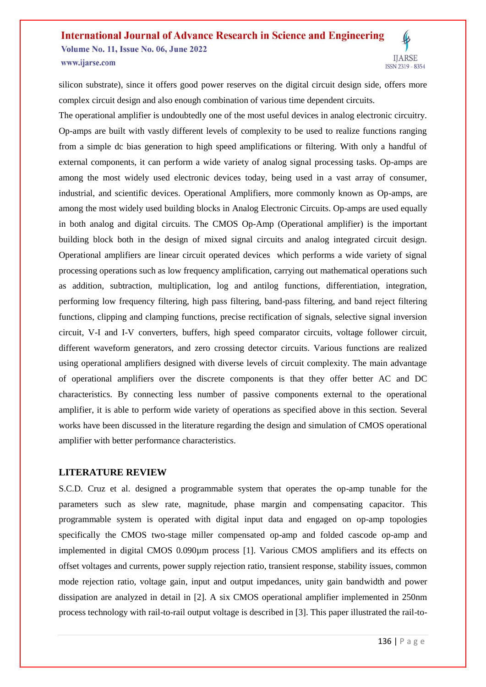silicon substrate), since it offers good power reserves on the digital circuit design side, offers more complex circuit design and also enough combination of various time dependent circuits.

The operational amplifier is undoubtedly one of the most useful devices in analog electronic circuitry. Op-amps are built with vastly different levels of complexity to be used to realize functions ranging from a simple dc bias generation to high speed amplifications or filtering. With only a handful of external components, it can perform a wide variety of analog signal processing tasks. Op-amps are among the most widely used electronic devices today, being used in a vast array of consumer, industrial, and scientific devices. Operational Amplifiers, more commonly known as Op-amps, are among the most widely used building blocks in Analog Electronic Circuits. Op-amps are used equally in both analog and digital circuits. The CMOS Op-Amp (Operational amplifier) is the important building block both in the design of mixed signal circuits and analog integrated circuit design. Operational amplifiers are linear circuit operated devices which performs a wide variety of signal processing operations such as low frequency amplification, carrying out mathematical operations such as addition, subtraction, multiplication, log and antilog functions, differentiation, integration, performing low frequency filtering, high pass filtering, band-pass filtering, and band reject filtering functions, clipping and clamping functions, precise rectification of signals, selective signal inversion circuit, V-I and I-V converters, buffers, high speed comparator circuits, voltage follower circuit, different waveform generators, and zero crossing detector circuits. Various functions are realized using operational amplifiers designed with diverse levels of circuit complexity. The main advantage of operational amplifiers over the discrete components is that they offer better AC and DC characteristics. By connecting less number of passive components external to the operational amplifier, it is able to perform wide variety of operations as specified above in this section. Several works have been discussed in the literature regarding the design and simulation of CMOS operational amplifier with better performance characteristics.

#### **LITERATURE REVIEW**

S.C.D. Cruz et al. designed a programmable system that operates the op-amp tunable for the parameters such as slew rate, magnitude, phase margin and compensating capacitor. This programmable system is operated with digital input data and engaged on op-amp topologies specifically the CMOS two-stage miller compensated op-amp and folded cascode op-amp and implemented in digital CMOS 0.090µm process [1]. Various CMOS amplifiers and its effects on offset voltages and currents, power supply rejection ratio, transient response, stability issues, common mode rejection ratio, voltage gain, input and output impedances, unity gain bandwidth and power dissipation are analyzed in detail in [2]. A six CMOS operational amplifier implemented in 250nm process technology with rail-to-rail output voltage is described in [3]. This paper illustrated the rail-to-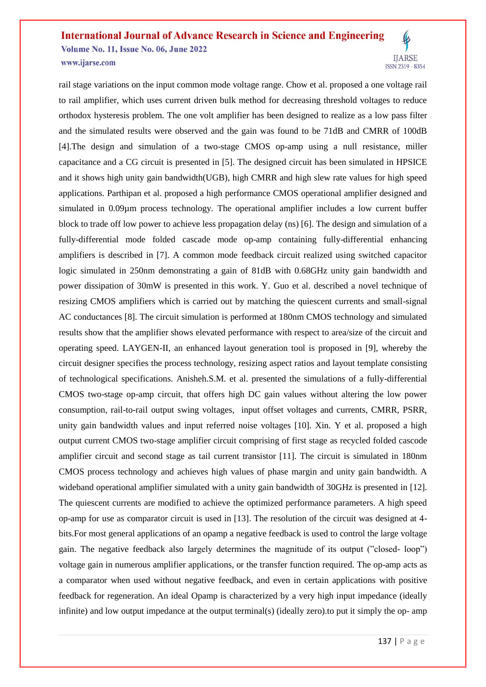rail stage variations on the input common mode voltage range. Chow et al. proposed a one voltage rail to rail amplifier, which uses current driven bulk method for decreasing threshold voltages to reduce orthodox hysteresis problem. The one volt amplifier has been designed to realize as a low pass filter and the simulated results were observed and the gain was found to be 71dB and CMRR of 100dB [4].The design and simulation of a two-stage CMOS op-amp using a null resistance, miller capacitance and a CG circuit is presented in [5]. The designed circuit has been simulated in HPSICE and it shows high unity gain bandwidth(UGB), high CMRR and high slew rate values for high speed applications. Parthipan et al. proposed a high performance CMOS operational amplifier designed and simulated in 0.09µm process technology. The operational amplifier includes a low current buffer block to trade off low power to achieve less propagation delay (ns) [6]. The design and simulation of a fully-differential mode folded cascade mode op-amp containing fully-differential enhancing amplifiers is described in [7]. A common mode feedback circuit realized using switched capacitor logic simulated in 250nm demonstrating a gain of 81dB with 0.68GHz unity gain bandwidth and power dissipation of 30mW is presented in this work. Y. Guo et al. described a novel technique of resizing CMOS amplifiers which is carried out by matching the quiescent currents and small-signal AC conductances [8]. The circuit simulation is performed at 180nm CMOS technology and simulated results show that the amplifier shows elevated performance with respect to area/size of the circuit and operating speed. LAYGEN-II, an enhanced layout generation tool is proposed in [9], whereby the circuit designer specifies the process technology, resizing aspect ratios and layout template consisting of technological specifications. Anisheh.S.M. et al. presented the simulations of a fully-differential CMOS two-stage op-amp circuit, that offers high DC gain values without altering the low power consumption, rail-to-rail output swing voltages, input offset voltages and currents, CMRR, PSRR, unity gain bandwidth values and input referred noise voltages [10]. Xin. Y et al. proposed a high output current CMOS two-stage amplifier circuit comprising of first stage as recycled folded cascode amplifier circuit and second stage as tail current transistor [11]. The circuit is simulated in 180nm CMOS process technology and achieves high values of phase margin and unity gain bandwidth. A wideband operational amplifier simulated with a unity gain bandwidth of 30GHz is presented in [12]. The quiescent currents are modified to achieve the optimized performance parameters. A high speed op-amp for use as comparator circuit is used in [13]. The resolution of the circuit was designed at 4 bits.For most general applications of an opamp a negative feedback is used to control the large voltage gain. The negative feedback also largely determines the magnitude of its output ("closed- loop") voltage gain in numerous amplifier applications, or the transfer function required. The op-amp acts as a comparator when used without negative feedback, and even in certain applications with positive feedback for regeneration. An ideal Opamp is characterized by a very high input impedance (ideally infinite) and low output impedance at the output terminal(s) (ideally zero).to put it simply the op- amp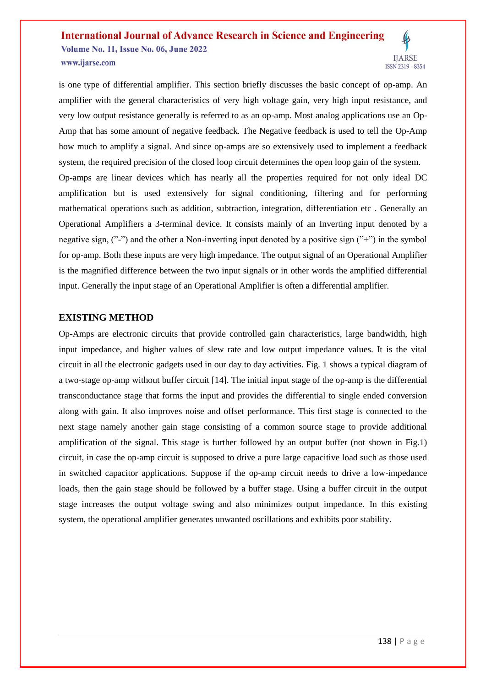is one type of differential amplifier. This section briefly discusses the basic concept of op-amp. An amplifier with the general characteristics of very high voltage gain, very high input resistance, and very low output resistance generally is referred to as an op-amp. Most analog applications use an Op-Amp that has some amount of negative feedback. The Negative feedback is used to tell the Op-Amp how much to amplify a signal. And since op-amps are so extensively used to implement a feedback system, the required precision of the closed loop circuit determines the open loop gain of the system. Op-amps are linear devices which has nearly all the properties required for not only ideal DC amplification but is used extensively for signal conditioning, filtering and for performing mathematical operations such as addition, subtraction, integration, differentiation etc . Generally an Operational Amplifiers a 3-terminal device. It consists mainly of an Inverting input denoted by a negative sign, ("-") and the other a Non-inverting input denoted by a positive sign ("+") in the symbol for op-amp. Both these inputs are very high impedance. The output signal of an Operational Amplifier is the magnified difference between the two input signals or in other words the amplified differential input. Generally the input stage of an Operational Amplifier is often a differential amplifier.

## **EXISTING METHOD**

Op-Amps are electronic circuits that provide controlled gain characteristics, large bandwidth, high input impedance, and higher values of slew rate and low output impedance values. It is the vital circuit in all the electronic gadgets used in our day to day activities. Fig. 1 shows a typical diagram of a two-stage op-amp without buffer circuit [14]. The initial input stage of the op-amp is the differential transconductance stage that forms the input and provides the differential to single ended conversion along with gain. It also improves noise and offset performance. This first stage is connected to the next stage namely another gain stage consisting of a common source stage to provide additional amplification of the signal. This stage is further followed by an output buffer (not shown in Fig.1) circuit, in case the op-amp circuit is supposed to drive a pure large capacitive load such as those used in switched capacitor applications. Suppose if the op-amp circuit needs to drive a low-impedance loads, then the gain stage should be followed by a buffer stage. Using a buffer circuit in the output stage increases the output voltage swing and also minimizes output impedance. In this existing system, the operational amplifier generates unwanted oscillations and exhibits poor stability.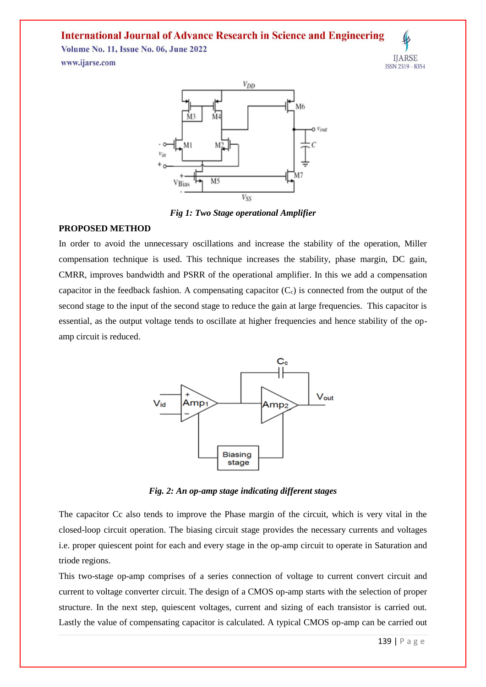## **International Journal of Advance Research in Science and Engineering**

**Volume No. 11, Issue No. 06, June 2022** www.ijarse.com



 $V_{DD}$ M<sub>6</sub> Ń4  $O$   $V_{OM}$ M5 VBias **Vss** 

*Fig 1: Two Stage operational Amplifier*

#### **PROPOSED METHOD**

In order to avoid the unnecessary oscillations and increase the stability of the operation, Miller compensation technique is used. This technique increases the stability, phase margin, DC gain, CMRR, improves bandwidth and PSRR of the operational amplifier. In this we add a compensation capacitor in the feedback fashion. A compensating capacitor  $(C_c)$  is connected from the output of the second stage to the input of the second stage to reduce the gain at large frequencies. This capacitor is essential, as the output voltage tends to oscillate at higher frequencies and hence stability of the opamp circuit is reduced.



*Fig. 2: An op-amp stage indicating different stages*

The capacitor Cc also tends to improve the Phase margin of the circuit, which is very vital in the closed-loop circuit operation. The biasing circuit stage provides the necessary currents and voltages i.e. proper quiescent point for each and every stage in the op-amp circuit to operate in Saturation and triode regions.

This two-stage op-amp comprises of a series connection of voltage to current convert circuit and current to voltage converter circuit. The design of a CMOS op-amp starts with the selection of proper structure. In the next step, quiescent voltages, current and sizing of each transistor is carried out. Lastly the value of compensating capacitor is calculated. A typical CMOS op-amp can be carried out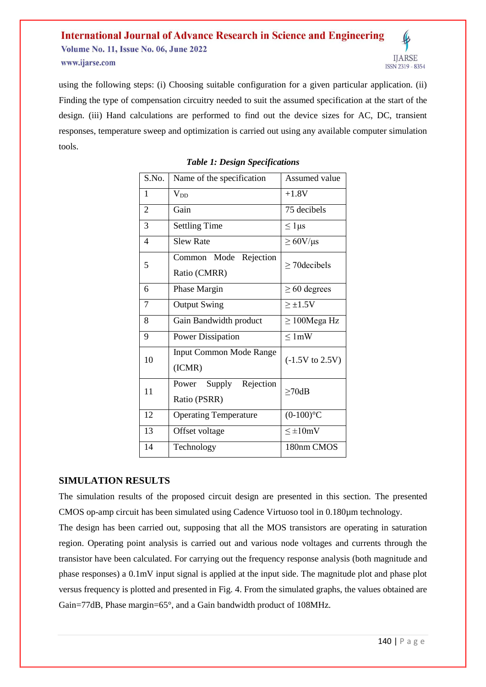using the following steps: (i) Choosing suitable configuration for a given particular application. (ii) Finding the type of compensation circuitry needed to suit the assumed specification at the start of the design. (iii) Hand calculations are performed to find out the device sizes for AC, DC, transient responses, temperature sweep and optimization is carried out using any available computer simulation tools.

| S.No. | Name of the specification                    | Assumed value              |
|-------|----------------------------------------------|----------------------------|
| 1     | <b>V</b> <sub>DD</sub>                       | $+1.8V$                    |
| 2     | Gain                                         | 75 decibels                |
| 3     | <b>Settling Time</b>                         | $\leq 1 \mu s$             |
| 4     | <b>Slew Rate</b>                             | $\geq 60$ V/µs             |
| 5     | Rejection<br>Common Mode<br>Ratio (CMRR)     | $\geq$ 70 decibels         |
| 6     | Phase Margin                                 | $\geq 60$ degrees          |
| 7     | <b>Output Swing</b>                          | $\geq \pm 1.5V$            |
| 8     | Gain Bandwidth product                       | $\geq$ 100Mega Hz          |
| 9     | <b>Power Dissipation</b>                     | $\leq 1$ mW                |
| 10    | <b>Input Common Mode Range</b><br>(ICMR)     | $(-1.5V \text{ to } 2.5V)$ |
| 11    | Rejection<br>Supply<br>Power<br>Ratio (PSRR) | $\geq$ 70dB                |
| 12    | <b>Operating Temperature</b>                 | $(0-100)$ °C               |
| 13    | Offset voltage                               | $\leq \pm 10$ mV           |
| 14    | Technology                                   | 180nm CMOS                 |

### *Table 1: Design Specifications*

## **SIMULATION RESULTS**

The simulation results of the proposed circuit design are presented in this section. The presented CMOS op-amp circuit has been simulated using Cadence Virtuoso tool in 0.180µm technology.

The design has been carried out, supposing that all the MOS transistors are operating in saturation region. Operating point analysis is carried out and various node voltages and currents through the transistor have been calculated. For carrying out the frequency response analysis (both magnitude and phase responses) a 0.1mV input signal is applied at the input side. The magnitude plot and phase plot versus frequency is plotted and presented in Fig. 4. From the simulated graphs, the values obtained are Gain=77dB, Phase margin=65°, and a Gain bandwidth product of 108MHz.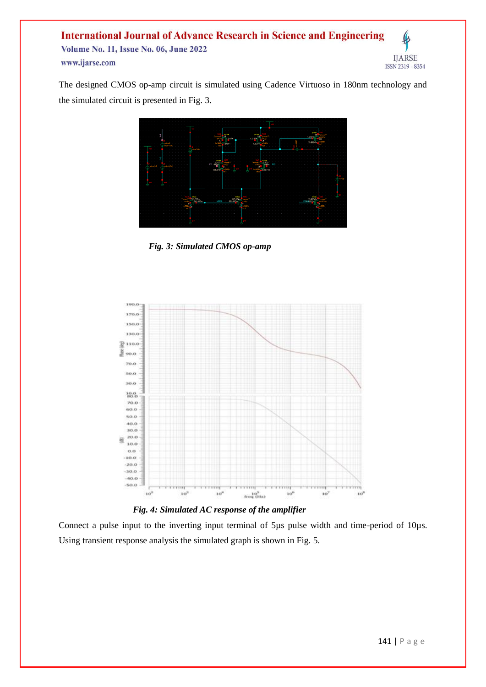The designed CMOS op-amp circuit is simulated using Cadence Virtuoso in 180nm technology and the simulated circuit is presented in Fig. 3.



 *Fig. 3: Simulated CMOS op-amp*



 *Fig. 4: Simulated AC response of the amplifier*

Connect a pulse input to the inverting input terminal of 5µs pulse width and time-period of 10µs. Using transient response analysis the simulated graph is shown in Fig. 5.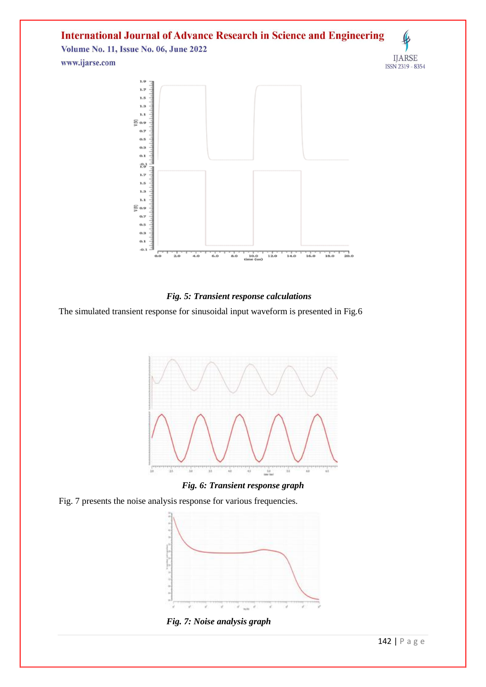# **International Journal of Advance Research in Science and Engineering**

**Volume No. 11, Issue No. 06, June 2022** www.ijarse.com





## *Fig. 5: Transient response calculations*

The simulated transient response for sinusoidal input waveform is presented in Fig.6



*Fig. 6: Transient response graph*

Fig. 7 presents the noise analysis response for various frequencies.



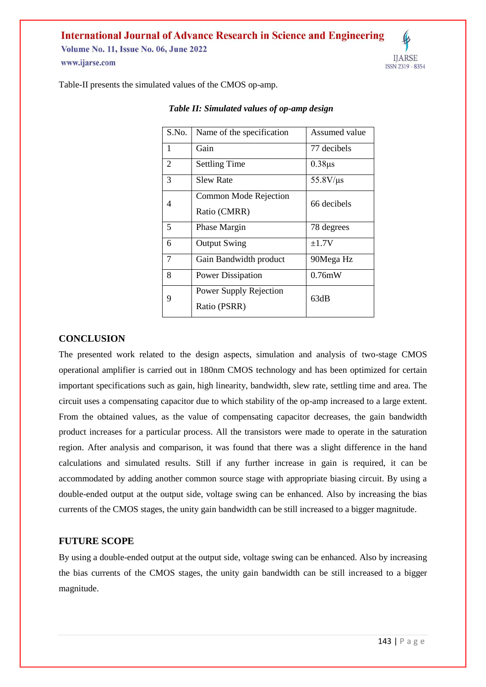## **International Journal of Advance Research in Science and Engineering**

**Volume No. 11, Issue No. 06, June 2022** www.ijarse.com



Table-II presents the simulated values of the CMOS op-amp.

| S.No. | Name of the specification              | Assumed value     |
|-------|----------------------------------------|-------------------|
| 1     | Gain                                   | 77 decibels       |
| 2     | <b>Settling Time</b>                   | $0.38\mu s$       |
| 3     | <b>Slew Rate</b>                       | $55.8$ V/ $\mu$ s |
| 4     | Common Mode Rejection<br>Ratio (CMRR)  | 66 decibels       |
| 5     | Phase Margin                           | 78 degrees        |
| 6     | <b>Output Swing</b>                    | $\pm 1.7V$        |
| 7     | Gain Bandwidth product                 | 90Mega Hz         |
| 8     | <b>Power Dissipation</b>               | 0.76mW            |
| 9     | Power Supply Rejection<br>Ratio (PSRR) | 63dB              |

#### *Table II: Simulated values of op-amp design*

#### **CONCLUSION**

The presented work related to the design aspects, simulation and analysis of two-stage CMOS operational amplifier is carried out in 180nm CMOS technology and has been optimized for certain important specifications such as gain, high linearity, bandwidth, slew rate, settling time and area. The circuit uses a compensating capacitor due to which stability of the op-amp increased to a large extent. From the obtained values, as the value of compensating capacitor decreases, the gain bandwidth product increases for a particular process. All the transistors were made to operate in the saturation region. After analysis and comparison, it was found that there was a slight difference in the hand calculations and simulated results. Still if any further increase in gain is required, it can be accommodated by adding another common source stage with appropriate biasing circuit. By using a double-ended output at the output side, voltage swing can be enhanced. Also by increasing the bias currents of the CMOS stages, the unity gain bandwidth can be still increased to a bigger magnitude.

## **FUTURE SCOPE**

By using a double-ended output at the output side, voltage swing can be enhanced. Also by increasing the bias currents of the CMOS stages, the unity gain bandwidth can be still increased to a bigger magnitude.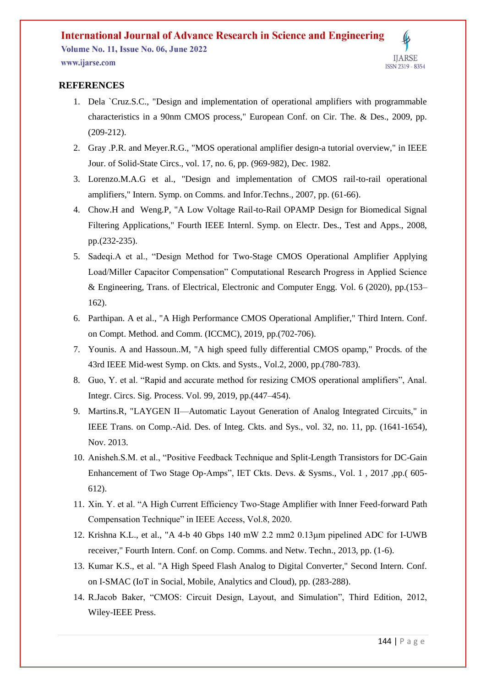## **REFERENCES**

- 1. Dela `Cruz.S.C., "Design and implementation of operational amplifiers with programmable characteristics in a 90nm CMOS process," European Conf. on Cir. The. & Des., 2009, pp. (209-212).
- 2. Gray .P.R. and Meyer.R.G., "MOS operational amplifier design-a tutorial overview," in IEEE Jour. of Solid-State Circs., vol. 17, no. 6, pp. (969-982), Dec. 1982.
- 3. Lorenzo.M.A.G et al., "Design and implementation of CMOS rail-to-rail operational amplifiers," Intern. Symp. on Comms. and Infor.Techns., 2007, pp. (61-66).
- 4. Chow.H and Weng.P, "A Low Voltage Rail-to-Rail OPAMP Design for Biomedical Signal Filtering Applications," Fourth IEEE Internl. Symp. on Electr. Des., Test and Apps., 2008, pp.(232-235).
- 5. Sadeqi.A et al., "Design Method for Two-Stage CMOS Operational Amplifier Applying Load/Miller Capacitor Compensation" Computational Research Progress in Applied Science & Engineering, Trans. of Electrical, Electronic and Computer Engg. Vol. 6 (2020), pp.(153– 162).
- 6. Parthipan. A et al., "A High Performance CMOS Operational Amplifier," Third Intern. Conf. on Compt. Method. and Comm. (ICCMC), 2019, pp.(702-706).
- 7. Younis. A and Hassoun..M, "A high speed fully differential CMOS opamp," Procds. of the 43rd IEEE Mid-west Symp. on Ckts. and Systs., Vol.2, 2000, pp.(780-783).
- 8. Guo, Y. et al. "Rapid and accurate method for resizing CMOS operational amplifiers", Anal. Integr. Circs. Sig. Process. Vol. 99, 2019, pp.(447–454).
- 9. Martins.R, "LAYGEN II—Automatic Layout Generation of Analog Integrated Circuits," in IEEE Trans. on Comp.-Aid. Des. of Integ. Ckts. and Sys., vol. 32, no. 11, pp. (1641-1654), Nov. 2013.
- 10. Anisheh.S.M. et al., "Positive Feedback Technique and Split-Length Transistors for DC-Gain Enhancement of Two Stage Op-Amps", IET Ckts. Devs. & Sysms., Vol. 1 , 2017 ,pp.( 605- 612).
- 11. Xin. Y. et al. "A High Current Efficiency Two-Stage Amplifier with Inner Feed-forward Path Compensation Technique" in IEEE Access, Vol.8, 2020.
- 12. Krishna K.L., et al., "A 4-b 40 Gbps 140 mW 2.2 mm2 0.13μm pipelined ADC for I-UWB receiver," Fourth Intern. Conf. on Comp. Comms. and Netw. Techn., 2013, pp. (1-6).
- 13. Kumar K.S., et al. "A High Speed Flash Analog to Digital Converter," Second Intern. Conf. on I-SMAC (IoT in Social, Mobile, Analytics and Cloud), pp. (283-288).
- 14. R.Jacob Baker, "CMOS: Circuit Design, Layout, and Simulation", Third Edition, 2012, Wiley-IEEE Press.